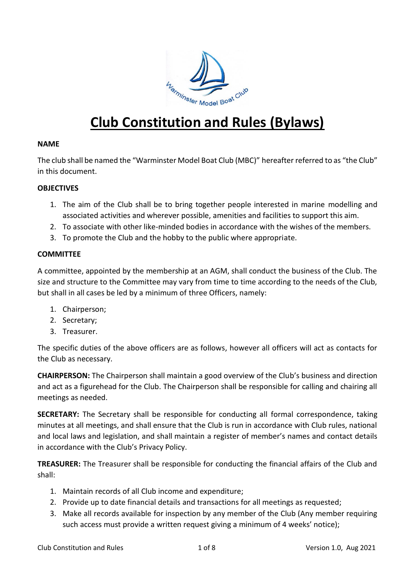

# **Club Constitution and Rules (Bylaws)**

## **NAME**

The club shall be named the "Warminster Model Boat Club (MBC)" hereafter referred to as "the Club" in this document.

# **OBJECTIVES**

- 1. The aim of the Club shall be to bring together people interested in marine modelling and associated activities and wherever possible, amenities and facilities to support this aim.
- 2. To associate with other like-minded bodies in accordance with the wishes of the members.
- 3. To promote the Club and the hobby to the public where appropriate.

### **COMMITTEE**

A committee, appointed by the membership at an AGM, shall conduct the business of the Club. The size and structure to the Committee may vary from time to time according to the needs of the Club, but shall in all cases be led by a minimum of three Officers, namely:

- 1. Chairperson;
- 2. Secretary;
- 3. Treasurer.

The specific duties of the above officers are as follows, however all officers will act as contacts for the Club as necessary.

**CHAIRPERSON:** The Chairperson shall maintain a good overview of the Club's business and direction and act as a figurehead for the Club. The Chairperson shall be responsible for calling and chairing all meetings as needed.

**SECRETARY:** The Secretary shall be responsible for conducting all formal correspondence, taking minutes at all meetings, and shall ensure that the Club is run in accordance with Club rules, national and local laws and legislation, and shall maintain a register of member's names and contact details in accordance with the Club's Privacy Policy.

**TREASURER:** The Treasurer shall be responsible for conducting the financial affairs of the Club and shall:

- 1. Maintain records of all Club income and expenditure;
- 2. Provide up to date financial details and transactions for all meetings as requested;
- 3. Make all records available for inspection by any member of the Club (Any member requiring such access must provide a written request giving a minimum of 4 weeks' notice);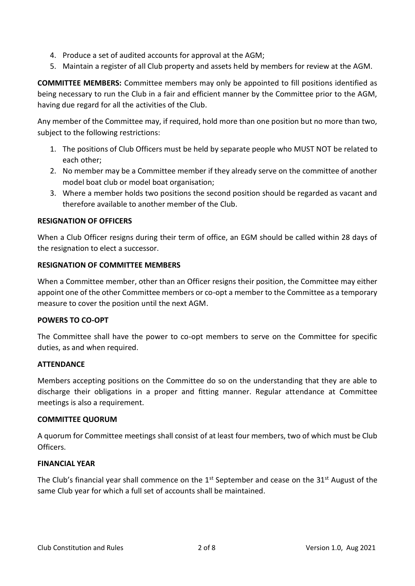- 4. Produce a set of audited accounts for approval at the AGM;
- 5. Maintain a register of all Club property and assets held by members for review at the AGM.

**COMMITTEE MEMBERS:** Committee members may only be appointed to fill positions identified as being necessary to run the Club in a fair and efficient manner by the Committee prior to the AGM, having due regard for all the activities of the Club.

Any member of the Committee may, if required, hold more than one position but no more than two, subject to the following restrictions:

- 1. The positions of Club Officers must be held by separate people who MUST NOT be related to each other;
- 2. No member may be a Committee member if they already serve on the committee of another model boat club or model boat organisation;
- 3. Where a member holds two positions the second position should be regarded as vacant and therefore available to another member of the Club.

### **RESIGNATION OF OFFICERS**

When a Club Officer resigns during their term of office, an EGM should be called within 28 days of the resignation to elect a successor.

# **RESIGNATION OF COMMITTEE MEMBERS**

When a Committee member, other than an Officer resigns their position, the Committee may either appoint one of the other Committee members or co-opt a member to the Committee as a temporary measure to cover the position until the next AGM.

#### **POWERS TO CO-OPT**

The Committee shall have the power to co-opt members to serve on the Committee for specific duties, as and when required.

#### **ATTENDANCE**

Members accepting positions on the Committee do so on the understanding that they are able to discharge their obligations in a proper and fitting manner. Regular attendance at Committee meetings is also a requirement.

#### **COMMITTEE QUORUM**

A quorum for Committee meetings shall consist of at least four members, two of which must be Club Officers.

#### **FINANCIAL YEAR**

The Club's financial year shall commence on the  $1<sup>st</sup>$  September and cease on the  $31<sup>st</sup>$  August of the same Club year for which a full set of accounts shall be maintained.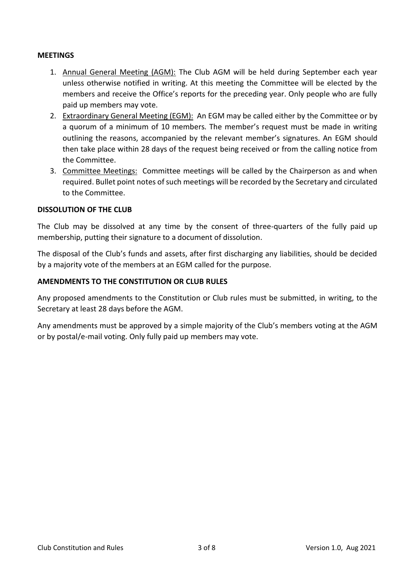# **MEETINGS**

- 1. Annual General Meeting (AGM): The Club AGM will be held during September each year unless otherwise notified in writing. At this meeting the Committee will be elected by the members and receive the Office's reports for the preceding year. Only people who are fully paid up members may vote.
- 2. Extraordinary General Meeting (EGM): An EGM may be called either by the Committee or by a quorum of a minimum of 10 members. The member's request must be made in writing outlining the reasons, accompanied by the relevant member's signatures. An EGM should then take place within 28 days of the request being received or from the calling notice from the Committee.
- 3. Committee Meetings: Committee meetings will be called by the Chairperson as and when required. Bullet point notes of such meetings will be recorded by the Secretary and circulated to the Committee.

## **DISSOLUTION OF THE CLUB**

The Club may be dissolved at any time by the consent of three-quarters of the fully paid up membership, putting their signature to a document of dissolution.

The disposal of the Club's funds and assets, after first discharging any liabilities, should be decided by a majority vote of the members at an EGM called for the purpose.

# **AMENDMENTS TO THE CONSTITUTION OR CLUB RULES**

Any proposed amendments to the Constitution or Club rules must be submitted, in writing, to the Secretary at least 28 days before the AGM.

Any amendments must be approved by a simple majority of the Club's members voting at the AGM or by postal/e-mail voting. Only fully paid up members may vote.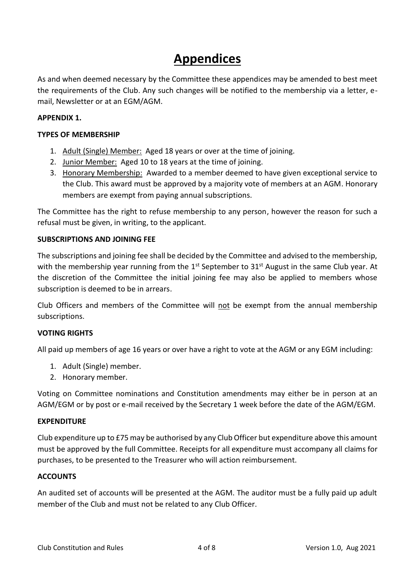# **Appendices**

As and when deemed necessary by the Committee these appendices may be amended to best meet the requirements of the Club. Any such changes will be notified to the membership via a letter, email, Newsletter or at an EGM/AGM.

# **APPENDIX 1.**

# **TYPES OF MEMBERSHIP**

- 1. Adult (Single) Member: Aged 18 years or over at the time of joining.
- 2. Junior Member: Aged 10 to 18 years at the time of joining.
- 3. Honorary Membership: Awarded to a member deemed to have given exceptional service to the Club. This award must be approved by a majority vote of members at an AGM. Honorary members are exempt from paying annual subscriptions.

The Committee has the right to refuse membership to any person, however the reason for such a refusal must be given, in writing, to the applicant.

# **SUBSCRIPTIONS AND JOINING FEE**

The subscriptions and joining fee shall be decided by the Committee and advised to the membership, with the membership year running from the 1<sup>st</sup> September to 31<sup>st</sup> August in the same Club year. At the discretion of the Committee the initial joining fee may also be applied to members whose subscription is deemed to be in arrears.

Club Officers and members of the Committee will not be exempt from the annual membership subscriptions.

# **VOTING RIGHTS**

All paid up members of age 16 years or over have a right to vote at the AGM or any EGM including:

- 1. Adult (Single) member.
- 2. Honorary member.

Voting on Committee nominations and Constitution amendments may either be in person at an AGM/EGM or by post or e-mail received by the Secretary 1 week before the date of the AGM/EGM.

#### **EXPENDITURE**

Club expenditure up to £75 may be authorised by any Club Officer but expenditure above this amount must be approved by the full Committee. Receipts for all expenditure must accompany all claims for purchases, to be presented to the Treasurer who will action reimbursement.

# **ACCOUNTS**

An audited set of accounts will be presented at the AGM. The auditor must be a fully paid up adult member of the Club and must not be related to any Club Officer.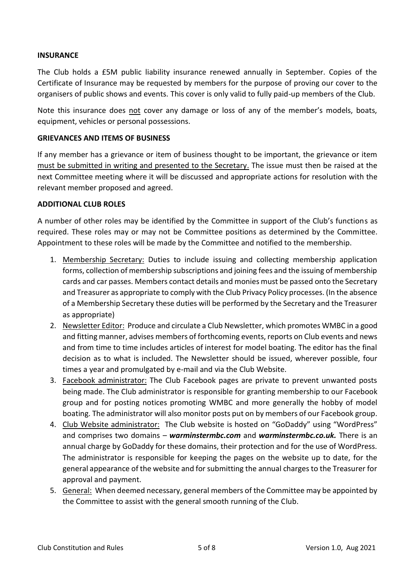# **INSURANCE**

The Club holds a £5M public liability insurance renewed annually in September. Copies of the Certificate of Insurance may be requested by members for the purpose of proving our cover to the organisers of public shows and events. This cover is only valid to fully paid-up members of the Club.

Note this insurance does not cover any damage or loss of any of the member's models, boats, equipment, vehicles or personal possessions.

# **GRIEVANCES AND ITEMS OF BUSINESS**

If any member has a grievance or item of business thought to be important, the grievance or item must be submitted in writing and presented to the Secretary. The issue must then be raised at the next Committee meeting where it will be discussed and appropriate actions for resolution with the relevant member proposed and agreed.

# **ADDITIONAL CLUB ROLES**

A number of other roles may be identified by the Committee in support of the Club's functions as required. These roles may or may not be Committee positions as determined by the Committee. Appointment to these roles will be made by the Committee and notified to the membership.

- 1. Membership Secretary: Duties to include issuing and collecting membership application forms, collection of membership subscriptions and joining fees and the issuing of membership cards and car passes. Members contact details and monies must be passed onto the Secretary and Treasurer as appropriate to comply with the Club Privacy Policy processes. (In the absence of a Membership Secretary these duties will be performed by the Secretary and the Treasurer as appropriate)
- 2. Newsletter Editor: Produce and circulate a Club Newsletter, which promotes WMBC in a good and fitting manner, advises members of forthcoming events, reports on Club events and news and from time to time includes articles of interest for model boating. The editor has the final decision as to what is included. The Newsletter should be issued, wherever possible, four times a year and promulgated by e-mail and via the Club Website.
- 3. Facebook administrator: The Club Facebook pages are private to prevent unwanted posts being made. The Club administrator is responsible for granting membership to our Facebook group and for posting notices promoting WMBC and more generally the hobby of model boating. The administrator will also monitor posts put on by members of our Facebook group.
- 4. Club Website administrator: The Club website is hosted on "GoDaddy" using "WordPress" and comprises two domains – *warminstermbc.com* and *warminstermbc.co.uk.* There is an annual charge by GoDaddy for these domains, their protection and for the use of WordPress. The administrator is responsible for keeping the pages on the website up to date, for the general appearance of the website and for submitting the annual charges to the Treasurer for approval and payment.
- 5. General: When deemed necessary, general members of the Committee may be appointed by the Committee to assist with the general smooth running of the Club.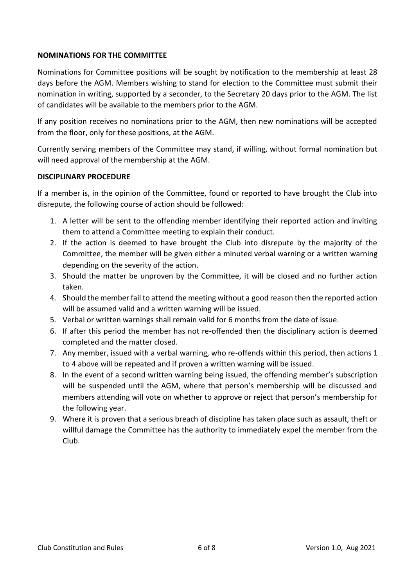# **NOMINATIONS FOR THE COMMITTEE**

Nominations for Committee positions will be sought by notification to the membership at least 28 days before the AGM. Members wishing to stand for election to the Committee must submit their nomination in writing, supported by a seconder, to the Secretary 20 days prior to the AGM. The list of candidates will be available to the members prior to the AGM.

If any position receives no nominations prior to the AGM, then new nominations will be accepted from the floor, only for these positions, at the AGM.

Currently serving members of the Committee may stand, if willing, without formal nomination but will need approval of the membership at the AGM.

# **DISCIPLINARY PROCEDURE**

If a member is, in the opinion of the Committee, found or reported to have brought the Club into disrepute, the following course of action should be followed:

- 1. A letter will be sent to the offending member identifying their reported action and inviting them to attend a Committee meeting to explain their conduct.
- 2. If the action is deemed to have brought the Club into disrepute by the majority of the Committee, the member will be given either a minuted verbal warning or a written warning depending on the severity of the action.
- 3. Should the matter be unproven by the Committee, it will be closed and no further action taken.
- 4. Should the member fail to attend the meeting without a good reason then the reported action will be assumed valid and a written warning will be issued.
- 5. Verbal or written warnings shall remain valid for 6 months from the date of issue.
- 6. If after this period the member has not re-offended then the disciplinary action is deemed completed and the matter closed.
- 7. Any member, issued with a verbal warning, who re-offends within this period, then actions 1 to 4 above will be repeated and if proven a written warning will be issued.
- 8. In the event of a second written warning being issued, the offending member's subscription will be suspended until the AGM, where that person's membership will be discussed and members attending will vote on whether to approve or reject that person's membership for the following year.
- 9. Where it is proven that a serious breach of discipline has taken place such as assault, theft or willful damage the Committee has the authority to immediately expel the member from the Club.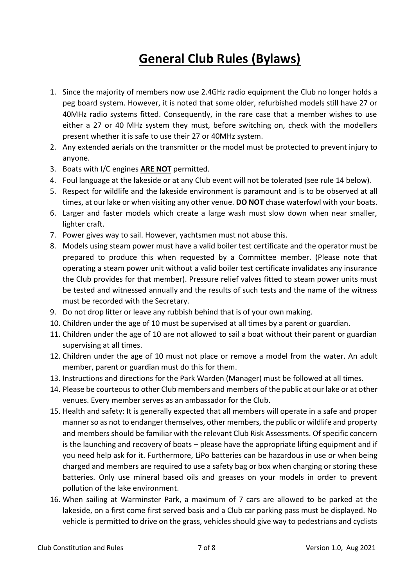# **General Club Rules (Bylaws)**

- 1. Since the majority of members now use 2.4GHz radio equipment the Club no longer holds a peg board system. However, it is noted that some older, refurbished models still have 27 or 40MHz radio systems fitted. Consequently, in the rare case that a member wishes to use either a 27 or 40 MHz system they must, before switching on, check with the modellers present whether it is safe to use their 27 or 40MHz system.
- 2. Any extended aerials on the transmitter or the model must be protected to prevent injury to anyone.
- 3. Boats with I/C engines **ARE NOT** permitted.
- 4. Foul language at the lakeside or at any Club event will not be tolerated (see rule 14 below).
- 5. Respect for wildlife and the lakeside environment is paramount and is to be observed at all times, at our lake or when visiting any other venue. **DO NOT** chase waterfowl with your boats.
- 6. Larger and faster models which create a large wash must slow down when near smaller, lighter craft.
- 7. Power gives way to sail. However, yachtsmen must not abuse this.
- 8. Models using steam power must have a valid boiler test certificate and the operator must be prepared to produce this when requested by a Committee member. (Please note that operating a steam power unit without a valid boiler test certificate invalidates any insurance the Club provides for that member). Pressure relief valves fitted to steam power units must be tested and witnessed annually and the results of such tests and the name of the witness must be recorded with the Secretary.
- 9. Do not drop litter or leave any rubbish behind that is of your own making.
- 10. Children under the age of 10 must be supervised at all times by a parent or guardian.
- 11. Children under the age of 10 are not allowed to sail a boat without their parent or guardian supervising at all times.
- 12. Children under the age of 10 must not place or remove a model from the water. An adult member, parent or guardian must do this for them.
- 13. Instructions and directions for the Park Warden (Manager) must be followed at all times.
- 14. Please be courteous to other Club members and members of the public at our lake or at other venues. Every member serves as an ambassador for the Club.
- 15. Health and safety: It is generally expected that all members will operate in a safe and proper manner so as not to endanger themselves, other members, the public or wildlife and property and members should be familiar with the relevant Club Risk Assessments. Of specific concern is the launching and recovery of boats – please have the appropriate lifting equipment and if you need help ask for it. Furthermore, LiPo batteries can be hazardous in use or when being charged and members are required to use a safety bag or box when charging or storing these batteries. Only use mineral based oils and greases on your models in order to prevent pollution of the lake environment.
- 16. When sailing at Warminster Park, a maximum of 7 cars are allowed to be parked at the lakeside, on a first come first served basis and a Club car parking pass must be displayed. No vehicle is permitted to drive on the grass, vehicles should give way to pedestrians and cyclists